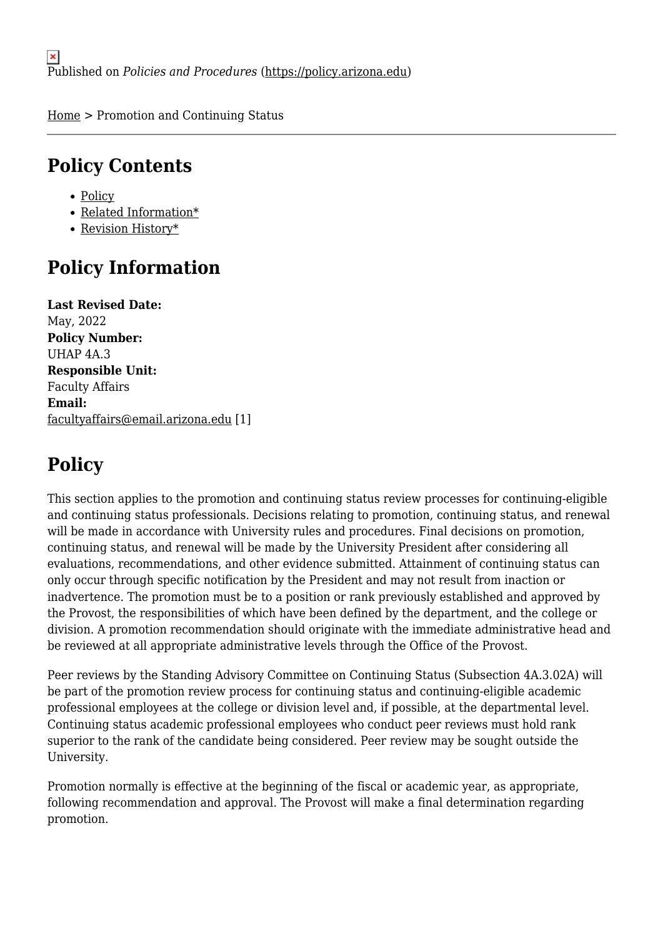[Home](https://policy.arizona.edu/) > Promotion and Continuing Status

# **Policy Contents**

- [Policy](#page-0-0)
- [Related Information\\*](#page-5-0)
- [Revision History\\*](#page-5-1)

# **Policy Information**

**Last Revised Date:**  May, 2022 **Policy Number:**  UHAP 4A.3 **Responsible Unit:**  Faculty Affairs **Email:**  [facultyaffairs@email.arizona.edu](mailto:facultyaffairs@email.arizona.edu) [1]

# <span id="page-0-0"></span>**Policy**

This section applies to the promotion and continuing status review processes for continuing-eligible and continuing status professionals. Decisions relating to promotion, continuing status, and renewal will be made in accordance with University rules and procedures. Final decisions on promotion, continuing status, and renewal will be made by the University President after considering all evaluations, recommendations, and other evidence submitted. Attainment of continuing status can only occur through specific notification by the President and may not result from inaction or inadvertence. The promotion must be to a position or rank previously established and approved by the Provost, the responsibilities of which have been defined by the department, and the college or division. A promotion recommendation should originate with the immediate administrative head and be reviewed at all appropriate administrative levels through the Office of the Provost.

Peer reviews by the Standing Advisory Committee on Continuing Status (Subsection 4A.3.02A) will be part of the promotion review process for continuing status and continuing-eligible academic professional employees at the college or division level and, if possible, at the departmental level. Continuing status academic professional employees who conduct peer reviews must hold rank superior to the rank of the candidate being considered. Peer review may be sought outside the University.

Promotion normally is effective at the beginning of the fiscal or academic year, as appropriate, following recommendation and approval. The Provost will make a final determination regarding promotion.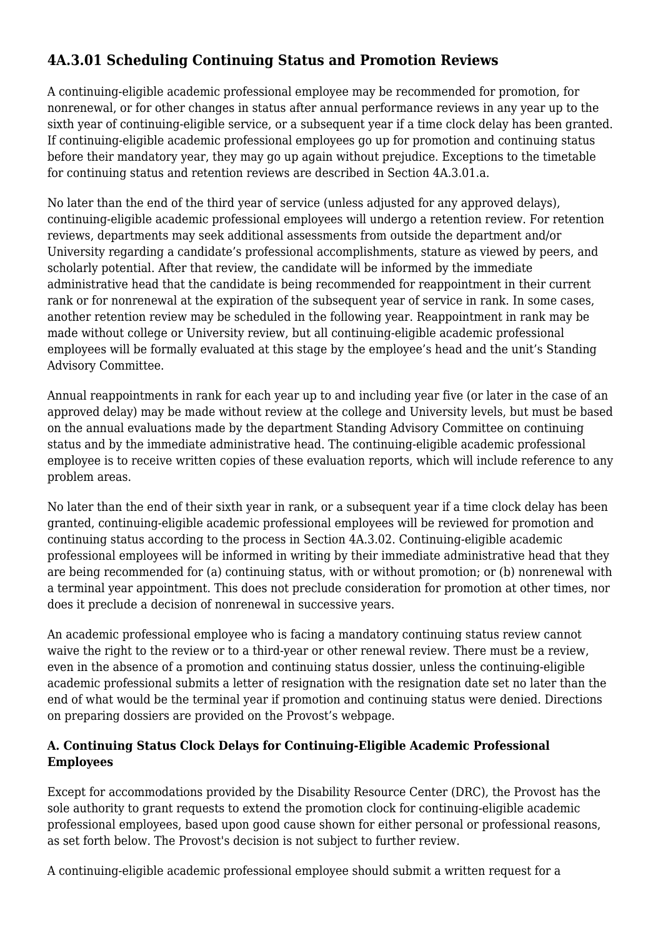## **4A.3.01 Scheduling Continuing Status and Promotion Reviews**

A continuing-eligible academic professional employee may be recommended for promotion, for nonrenewal, or for other changes in status after annual performance reviews in any year up to the sixth year of continuing-eligible service, or a subsequent year if a time clock delay has been granted. If continuing-eligible academic professional employees go up for promotion and continuing status before their mandatory year, they may go up again without prejudice. Exceptions to the timetable for continuing status and retention reviews are described in Section 4A.3.01.a.

No later than the end of the third year of service (unless adjusted for any approved delays), continuing-eligible academic professional employees will undergo a retention review. For retention reviews, departments may seek additional assessments from outside the department and/or University regarding a candidate's professional accomplishments, stature as viewed by peers, and scholarly potential. After that review, the candidate will be informed by the immediate administrative head that the candidate is being recommended for reappointment in their current rank or for nonrenewal at the expiration of the subsequent year of service in rank. In some cases, another retention review may be scheduled in the following year. Reappointment in rank may be made without college or University review, but all continuing-eligible academic professional employees will be formally evaluated at this stage by the employee's head and the unit's Standing Advisory Committee.

Annual reappointments in rank for each year up to and including year five (or later in the case of an approved delay) may be made without review at the college and University levels, but must be based on the annual evaluations made by the department Standing Advisory Committee on continuing status and by the immediate administrative head. The continuing-eligible academic professional employee is to receive written copies of these evaluation reports, which will include reference to any problem areas.

No later than the end of their sixth year in rank, or a subsequent year if a time clock delay has been granted, continuing-eligible academic professional employees will be reviewed for promotion and continuing status according to the process in Section 4A.3.02. Continuing-eligible academic professional employees will be informed in writing by their immediate administrative head that they are being recommended for (a) continuing status, with or without promotion; or (b) nonrenewal with a terminal year appointment. This does not preclude consideration for promotion at other times, nor does it preclude a decision of nonrenewal in successive years.

An academic professional employee who is facing a mandatory continuing status review cannot waive the right to the review or to a third-year or other renewal review. There must be a review, even in the absence of a promotion and continuing status dossier, unless the continuing-eligible academic professional submits a letter of resignation with the resignation date set no later than the end of what would be the terminal year if promotion and continuing status were denied. Directions on preparing dossiers are provided on the Provost's webpage.

### **A. Continuing Status Clock Delays for Continuing-Eligible Academic Professional Employees**

Except for accommodations provided by the Disability Resource Center (DRC), the Provost has the sole authority to grant requests to extend the promotion clock for continuing-eligible academic professional employees, based upon good cause shown for either personal or professional reasons, as set forth below. The Provost's decision is not subject to further review.

A continuing-eligible academic professional employee should submit a written request for a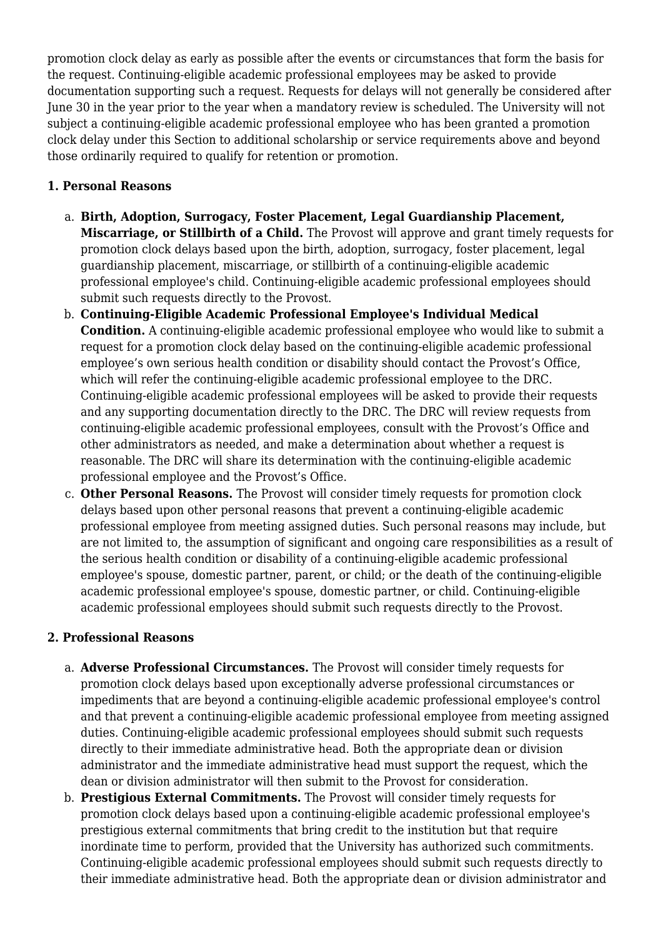promotion clock delay as early as possible after the events or circumstances that form the basis for the request. Continuing-eligible academic professional employees may be asked to provide documentation supporting such a request. Requests for delays will not generally be considered after June 30 in the year prior to the year when a mandatory review is scheduled. The University will not subject a continuing-eligible academic professional employee who has been granted a promotion clock delay under this Section to additional scholarship or service requirements above and beyond those ordinarily required to qualify for retention or promotion.

#### **1. Personal Reasons**

- a. **Birth, Adoption, Surrogacy, Foster Placement, Legal Guardianship Placement, Miscarriage, or Stillbirth of a Child.** The Provost will approve and grant timely requests for promotion clock delays based upon the birth, adoption, surrogacy, foster placement, legal guardianship placement, miscarriage, or stillbirth of a continuing-eligible academic professional employee's child. Continuing-eligible academic professional employees should submit such requests directly to the Provost.
- b. **Continuing-Eligible Academic Professional Employee's Individual Medical Condition.** A continuing-eligible academic professional employee who would like to submit a request for a promotion clock delay based on the continuing-eligible academic professional employee's own serious health condition or disability should contact the Provost's Office, which will refer the continuing-eligible academic professional employee to the DRC. Continuing-eligible academic professional employees will be asked to provide their requests and any supporting documentation directly to the DRC. The DRC will review requests from continuing-eligible academic professional employees, consult with the Provost's Office and other administrators as needed, and make a determination about whether a request is reasonable. The DRC will share its determination with the continuing-eligible academic professional employee and the Provost's Office.
- c. **Other Personal Reasons.** The Provost will consider timely requests for promotion clock delays based upon other personal reasons that prevent a continuing-eligible academic professional employee from meeting assigned duties. Such personal reasons may include, but are not limited to, the assumption of significant and ongoing care responsibilities as a result of the serious health condition or disability of a continuing-eligible academic professional employee's spouse, domestic partner, parent, or child; or the death of the continuing-eligible academic professional employee's spouse, domestic partner, or child. Continuing-eligible academic professional employees should submit such requests directly to the Provost.

#### **2. Professional Reasons**

- a. **Adverse Professional Circumstances.** The Provost will consider timely requests for promotion clock delays based upon exceptionally adverse professional circumstances or impediments that are beyond a continuing-eligible academic professional employee's control and that prevent a continuing-eligible academic professional employee from meeting assigned duties. Continuing-eligible academic professional employees should submit such requests directly to their immediate administrative head. Both the appropriate dean or division administrator and the immediate administrative head must support the request, which the dean or division administrator will then submit to the Provost for consideration.
- b. **Prestigious External Commitments.** The Provost will consider timely requests for promotion clock delays based upon a continuing-eligible academic professional employee's prestigious external commitments that bring credit to the institution but that require inordinate time to perform, provided that the University has authorized such commitments. Continuing-eligible academic professional employees should submit such requests directly to their immediate administrative head. Both the appropriate dean or division administrator and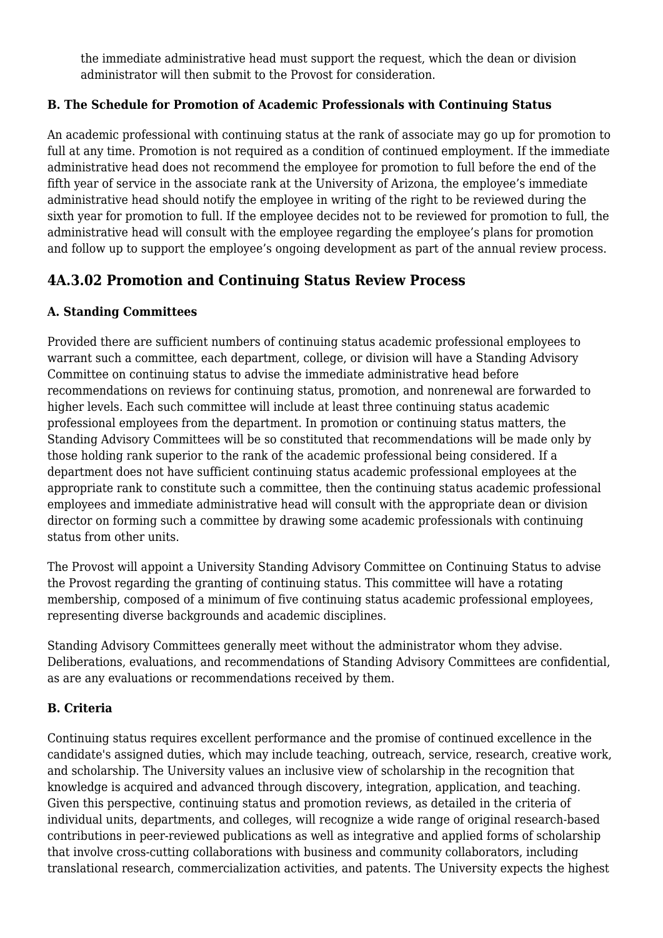the immediate administrative head must support the request, which the dean or division administrator will then submit to the Provost for consideration.

### **B. The Schedule for Promotion of Academic Professionals with Continuing Status**

An academic professional with continuing status at the rank of associate may go up for promotion to full at any time. Promotion is not required as a condition of continued employment. If the immediate administrative head does not recommend the employee for promotion to full before the end of the fifth year of service in the associate rank at the University of Arizona, the employee's immediate administrative head should notify the employee in writing of the right to be reviewed during the sixth year for promotion to full. If the employee decides not to be reviewed for promotion to full, the administrative head will consult with the employee regarding the employee's plans for promotion and follow up to support the employee's ongoing development as part of the annual review process.

### **4A.3.02 Promotion and Continuing Status Review Process**

### **A. Standing Committees**

Provided there are sufficient numbers of continuing status academic professional employees to warrant such a committee, each department, college, or division will have a Standing Advisory Committee on continuing status to advise the immediate administrative head before recommendations on reviews for continuing status, promotion, and nonrenewal are forwarded to higher levels. Each such committee will include at least three continuing status academic professional employees from the department. In promotion or continuing status matters, the Standing Advisory Committees will be so constituted that recommendations will be made only by those holding rank superior to the rank of the academic professional being considered. If a department does not have sufficient continuing status academic professional employees at the appropriate rank to constitute such a committee, then the continuing status academic professional employees and immediate administrative head will consult with the appropriate dean or division director on forming such a committee by drawing some academic professionals with continuing status from other units.

The Provost will appoint a University Standing Advisory Committee on Continuing Status to advise the Provost regarding the granting of continuing status. This committee will have a rotating membership, composed of a minimum of five continuing status academic professional employees, representing diverse backgrounds and academic disciplines.

Standing Advisory Committees generally meet without the administrator whom they advise. Deliberations, evaluations, and recommendations of Standing Advisory Committees are confidential, as are any evaluations or recommendations received by them.

#### **B. Criteria**

Continuing status requires excellent performance and the promise of continued excellence in the candidate's assigned duties, which may include teaching, outreach, service, research, creative work, and scholarship. The University values an inclusive view of scholarship in the recognition that knowledge is acquired and advanced through discovery, integration, application, and teaching. Given this perspective, continuing status and promotion reviews, as detailed in the criteria of individual units, departments, and colleges, will recognize a wide range of original research-based contributions in peer-reviewed publications as well as integrative and applied forms of scholarship that involve cross-cutting collaborations with business and community collaborators, including translational research, commercialization activities, and patents. The University expects the highest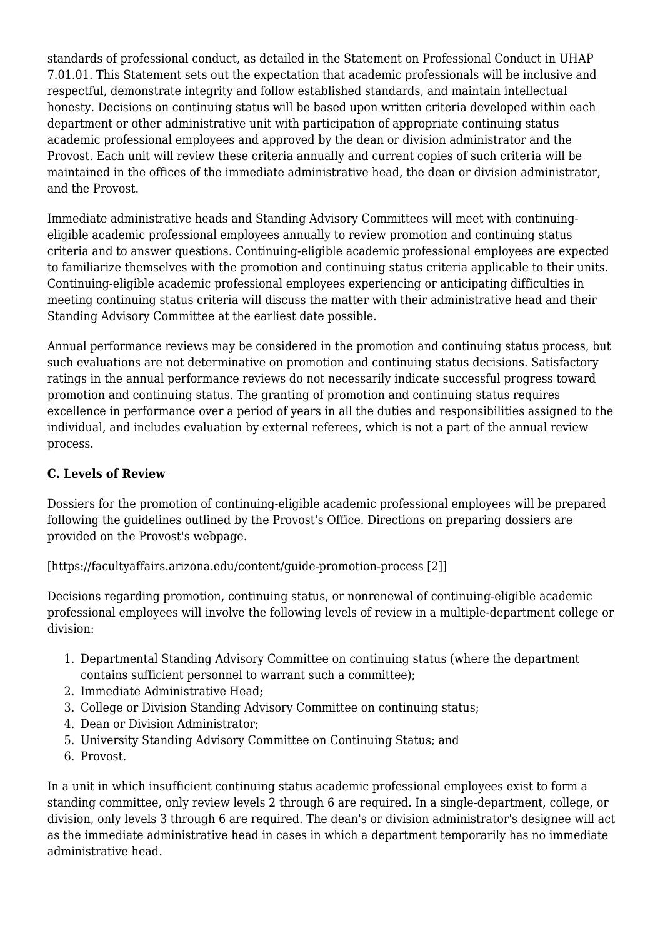standards of professional conduct, as detailed in the Statement on Professional Conduct in UHAP 7.01.01. This Statement sets out the expectation that academic professionals will be inclusive and respectful, demonstrate integrity and follow established standards, and maintain intellectual honesty. Decisions on continuing status will be based upon written criteria developed within each department or other administrative unit with participation of appropriate continuing status academic professional employees and approved by the dean or division administrator and the Provost. Each unit will review these criteria annually and current copies of such criteria will be maintained in the offices of the immediate administrative head, the dean or division administrator, and the Provost.

Immediate administrative heads and Standing Advisory Committees will meet with continuingeligible academic professional employees annually to review promotion and continuing status criteria and to answer questions. Continuing-eligible academic professional employees are expected to familiarize themselves with the promotion and continuing status criteria applicable to their units. Continuing-eligible academic professional employees experiencing or anticipating difficulties in meeting continuing status criteria will discuss the matter with their administrative head and their Standing Advisory Committee at the earliest date possible.

Annual performance reviews may be considered in the promotion and continuing status process, but such evaluations are not determinative on promotion and continuing status decisions. Satisfactory ratings in the annual performance reviews do not necessarily indicate successful progress toward promotion and continuing status. The granting of promotion and continuing status requires excellence in performance over a period of years in all the duties and responsibilities assigned to the individual, and includes evaluation by external referees, which is not a part of the annual review process.

#### **C. Levels of Review**

Dossiers for the promotion of continuing-eligible academic professional employees will be prepared following the guidelines outlined by the Provost's Office. Directions on preparing dossiers are provided on the Provost's webpage.

#### [\[https://facultyaffairs.arizona.edu/content/guide-promotion-process](https://facultyaffairs.arizona.edu/content/guide-promotion-process) [2]]

Decisions regarding promotion, continuing status, or nonrenewal of continuing-eligible academic professional employees will involve the following levels of review in a multiple-department college or division:

- 1. Departmental Standing Advisory Committee on continuing status (where the department contains sufficient personnel to warrant such a committee);
- 2. Immediate Administrative Head;
- 3. College or Division Standing Advisory Committee on continuing status;
- 4. Dean or Division Administrator;
- 5. University Standing Advisory Committee on Continuing Status; and
- 6. Provost.

In a unit in which insufficient continuing status academic professional employees exist to form a standing committee, only review levels 2 through 6 are required. In a single-department, college, or division, only levels 3 through 6 are required. The dean's or division administrator's designee will act as the immediate administrative head in cases in which a department temporarily has no immediate administrative head.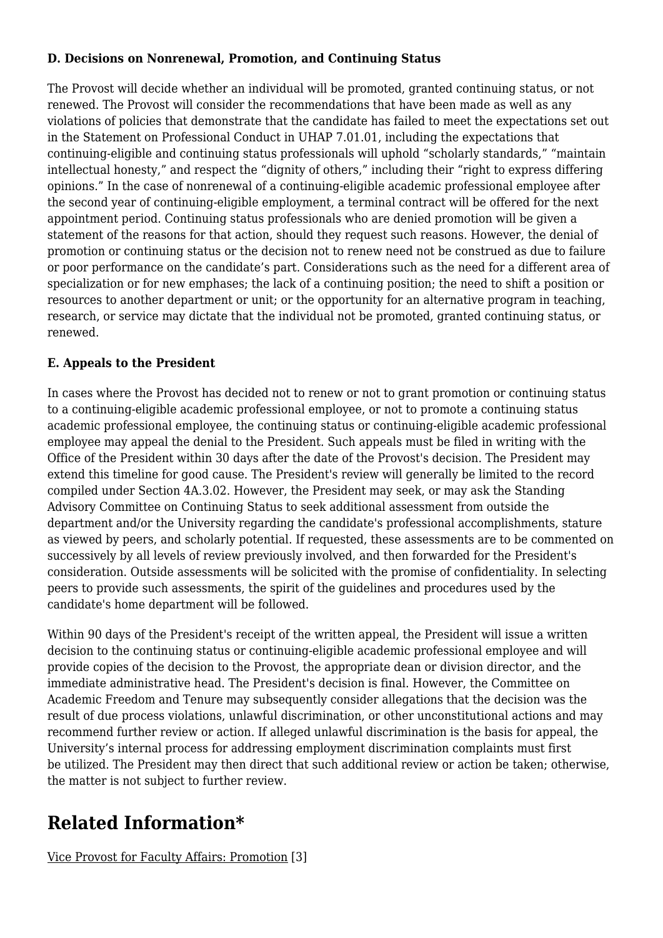#### **D. Decisions on Nonrenewal, Promotion, and Continuing Status**

The Provost will decide whether an individual will be promoted, granted continuing status, or not renewed. The Provost will consider the recommendations that have been made as well as any violations of policies that demonstrate that the candidate has failed to meet the expectations set out in the Statement on Professional Conduct in UHAP 7.01.01, including the expectations that continuing-eligible and continuing status professionals will uphold "scholarly standards," "maintain intellectual honesty," and respect the "dignity of others," including their "right to express differing opinions." In the case of nonrenewal of a continuing-eligible academic professional employee after the second year of continuing-eligible employment, a terminal contract will be offered for the next appointment period. Continuing status professionals who are denied promotion will be given a statement of the reasons for that action, should they request such reasons. However, the denial of promotion or continuing status or the decision not to renew need not be construed as due to failure or poor performance on the candidate's part. Considerations such as the need for a different area of specialization or for new emphases; the lack of a continuing position; the need to shift a position or resources to another department or unit; or the opportunity for an alternative program in teaching, research, or service may dictate that the individual not be promoted, granted continuing status, or renewed.

### **E. Appeals to the President**

In cases where the Provost has decided not to renew or not to grant promotion or continuing status to a continuing-eligible academic professional employee, or not to promote a continuing status academic professional employee, the continuing status or continuing-eligible academic professional employee may appeal the denial to the President. Such appeals must be filed in writing with the Office of the President within 30 days after the date of the Provost's decision. The President may extend this timeline for good cause. The President's review will generally be limited to the record compiled under Section 4A.3.02. However, the President may seek, or may ask the Standing Advisory Committee on Continuing Status to seek additional assessment from outside the department and/or the University regarding the candidate's professional accomplishments, stature as viewed by peers, and scholarly potential. If requested, these assessments are to be commented on successively by all levels of review previously involved, and then forwarded for the President's consideration. Outside assessments will be solicited with the promise of confidentiality. In selecting peers to provide such assessments, the spirit of the guidelines and procedures used by the candidate's home department will be followed.

Within 90 days of the President's receipt of the written appeal, the President will issue a written decision to the continuing status or continuing-eligible academic professional employee and will provide copies of the decision to the Provost, the appropriate dean or division director, and the immediate administrative head. The President's decision is final. However, the Committee on Academic Freedom and Tenure may subsequently consider allegations that the decision was the result of due process violations, unlawful discrimination, or other unconstitutional actions and may recommend further review or action. If alleged unlawful discrimination is the basis for appeal, the University's internal process for addressing employment discrimination complaints must first be utilized. The President may then direct that such additional review or action be taken; otherwise, the matter is not subject to further review.

## <span id="page-5-0"></span>**Related Information\***

<span id="page-5-1"></span>[Vice Provost for Faculty Affairs: Promotion](https://facultyaffairs.arizona.edu/) [3]